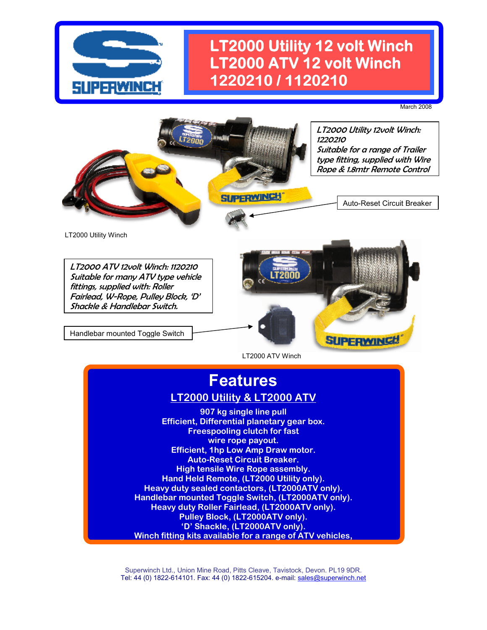

### **LT2000 Utility 12 volt Winch LT2000 ATV 12 volt Winch 1220210 / 1120210**

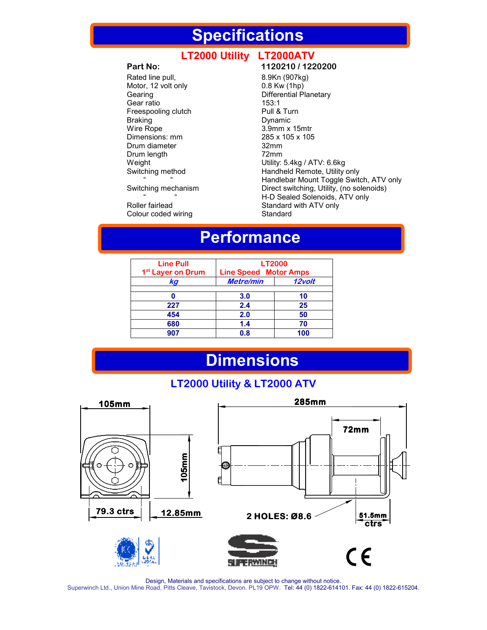### **Specifications**

### LT2000 Utility LT2000ATV

Rated line pull, 8.9Kn (907kg) Motor, 12 volt only 0.8 Kw (1hp) Gearing **Differential Planetary** Gear ratio 153:1 Freespooling clutch Pull & Turn<br>Braking Dynamic Dynamic Braking **Dynamic**<br>
Wire Rope **Dynamic** 3.9mm x Dimensions: mm 285 x 105 x 105 x 105 x 105 x 105 x 105 x 105 x 105 x 105 x 105 x 105 x 105 x 105 x 105 x 105 x 105 x 105 x 105 x 105 x 105 x 105 x 105 x 105 x 105 x 105 x 105 x 105 x 105 x 105 x 105 x 105 x 105 x 105 x 105 Drum diameter and the same state of the Samman and the Samman and the Samman and the Samman and the Samman and <br>32mm Drum length<br>Weight

Colour coded wiring

#### **Part No: 1120210 / 1220200**

 $3.9$ mm x 15mtr<br> $285 \times 105 \times 105$ Weight **Weight** Utility: 5.4kg / ATV: 6.6kg<br>
Switching method **Example 1** Handheld Remote, Utility Handheld Remote, Utility only " " " " " " Handlebar Mount Toggle Switch, ATV only<br>Switching mechanism " Direct switching, Utility, (no solenoids) Direct switching, Utility, (no solenoids) " " " H-D Sealed Solenoids, ATV only<br>
Standard with ATV only<br>
Standard with ATV only Standard with ATV only<br>Standard

## **Performance**

| <b>Line Pull</b><br>1 <sup>st</sup> Layer on Drum | <b>LT2000</b><br><b>Line Speed Motor Amps</b> |        |
|---------------------------------------------------|-----------------------------------------------|--------|
| kg                                                | <b>Metre/min</b>                              | 12volt |
|                                                   | 3.0                                           | 10     |
| 227                                               | 2.4                                           | 25     |
| 454                                               | 2.0                                           | 50     |
| 680                                               | 1.4                                           | 70     |
| 907                                               | 0.8                                           | 100    |

### **Dimensions**

#### **LT2000 Utility & LT2000 ATV**



Design, Materials and specifications are subject to change without notice. Superwinch Ltd., Union Mine Road, Pitts Cleave, Tavistock, Devon. PL19 OPW. Tel: 44 (0) 1822-614101. Fax: 44 (0) 1822-615204.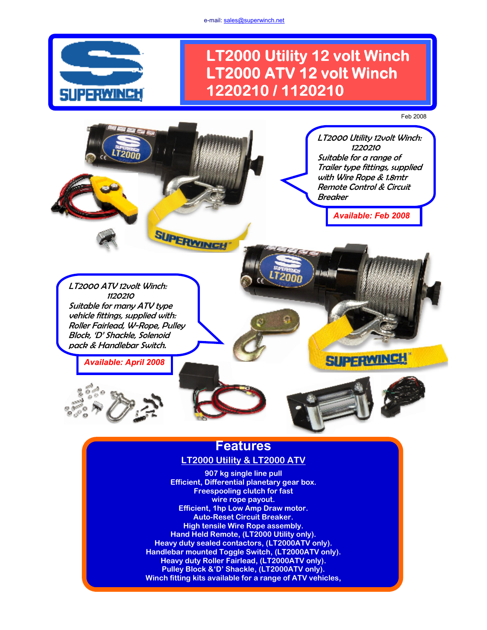e-mail: sales@superwinch.net



### **LT2000 Utility 12 volt Winch LT2000 ATV 12 volt Winch 1220210 / 1120210**

#### Feb 2008



### **LT2000 Utility & LT2000 ATV**

**907 kg single line pull Efficient, Differential planetary gear box. Freespooling clutch for fast wire rope payout. Efficient, 1hp Low Amp Draw motor. Auto-Reset Circuit Breaker. High tensile Wire Rope assembly. Hand Held Remote, (LT2000 Utility only). Heavy duty sealed contactors, (LT2000ATV only). Handlebar mounted Toggle Switch, (LT2000ATV only). Heavy duty Roller Fairlead, (LT2000ATV only). Pulley Block &'D' Shackle, (LT2000ATV only). Winch fitting kits available for a range of ATV vehicles,**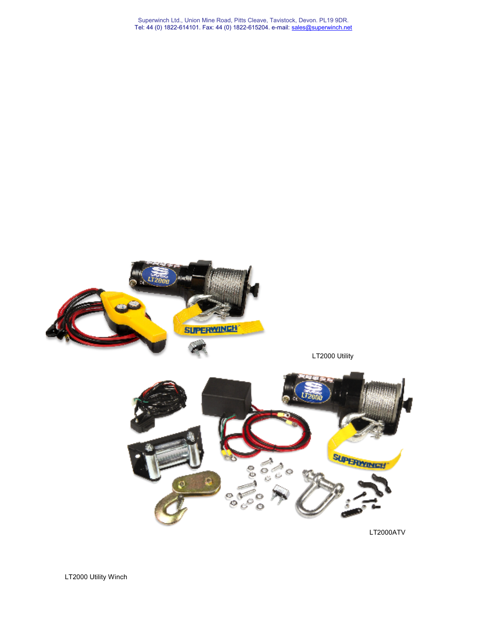



LT2000 Utility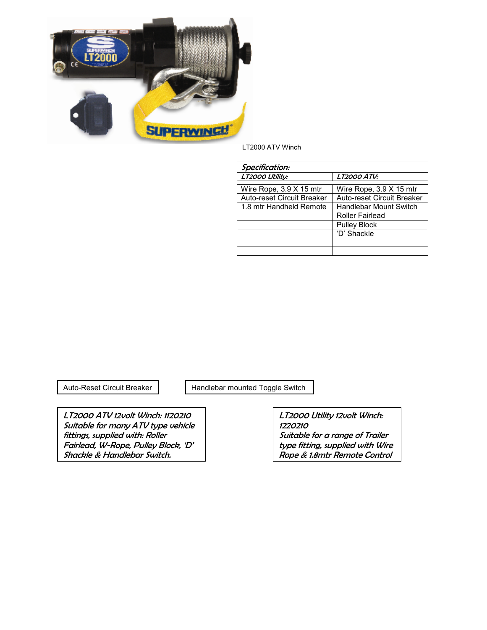

LT2000 ATV Winch

| Specification:                    |                                   |  |  |
|-----------------------------------|-----------------------------------|--|--|
| LT2000 Utility:                   | <b>LT2000 ATV:</b>                |  |  |
|                                   |                                   |  |  |
| Wire Rope, $3.9 \times 15$ mtr    | Wire Rope, $3.9 \times 15$ mtr    |  |  |
| <b>Auto-reset Circuit Breaker</b> | <b>Auto-reset Circuit Breaker</b> |  |  |
| 1.8 mtr Handheld Remote           | <b>Handlebar Mount Switch</b>     |  |  |
|                                   | <b>Roller Fairlead</b>            |  |  |
|                                   | <b>Pulley Block</b>               |  |  |
|                                   | 'D' Shackle                       |  |  |
|                                   |                                   |  |  |
|                                   |                                   |  |  |

Auto-Reset Circuit Breaker | Handlebar mounted Toggle Switch

LT2000 ATV 12volt Winch: 1120210 Suitable for many ATV type vehicle fittings, supplied with: Roller Fairlead, W-Rope, Pulley Block, 'D' Shackle & Handlebar Switch.

LT2000 Utility 12volt Winch: 1220210 Suitable for a range of Trailer type fitting, supplied with Wire Rope & 1.8mtr Remote Control